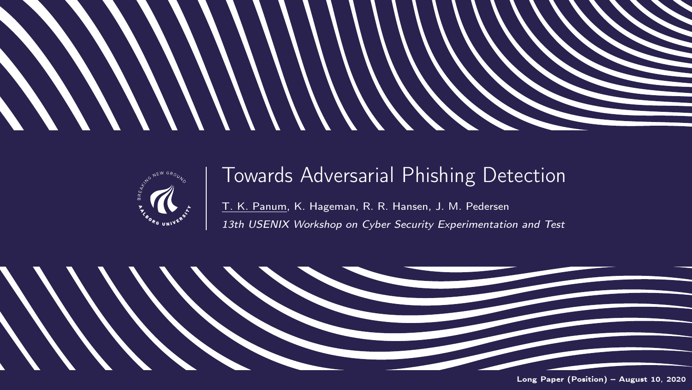



### Towards Adversarial Phishing Detection

T. K. Panum, K. Hageman, R. R. Hansen, J. M. Pedersen 13th USENIX Workshop on Cyber Security Experimentation and Test

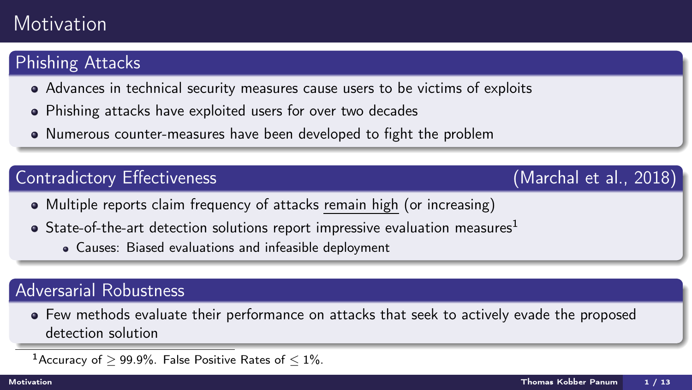## <span id="page-1-0"></span>**Motivation**

### Phishing Attacks

- Advances in technical security measures cause users to be victims of exploits
- Phishing attacks have exploited users for over two decades
- Numerous counter-measures have been developed to fight the problem

### Contradictory Effectiveness (Marchal et al., 2018)

- Multiple reports claim frequency of attacks remain high (or increasing)
- $\bullet$  State-of-the-art detection solutions report impressive evaluation measures<sup>1</sup>
	- Causes: Biased evaluations and infeasible deployment

### Adversarial Robustness

Few methods evaluate their performance on attacks that seek to actively evade the proposed detection solution

<sup>1</sup> Accuracy of  $> 99.9\%$ . False Positive Rates of  $\leq 1\%$ .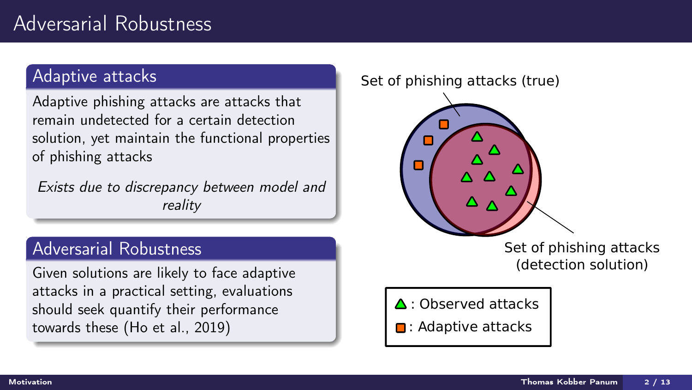## Adversarial Robustness

#### Adaptive attacks

Adaptive phishing attacks are attacks that remain undetected for a certain detection solution, yet maintain the functional properties of phishing attacks

Exists due to discrepancy between model and reality

### Adversarial Robustness

Given solutions are likely to face adaptive attacks in a practical setting, evaluations should seek quantify their performance<br>towards these (Ho et al., 2019)  $\begin{bmatrix} \bullet & \bullet \\ \bullet & \bullet \end{bmatrix}$  : Adaptive attacks

#### Set of phishing attacks (true)



Set of phishing attacks (detection solution)

**□**: Adaptive attacks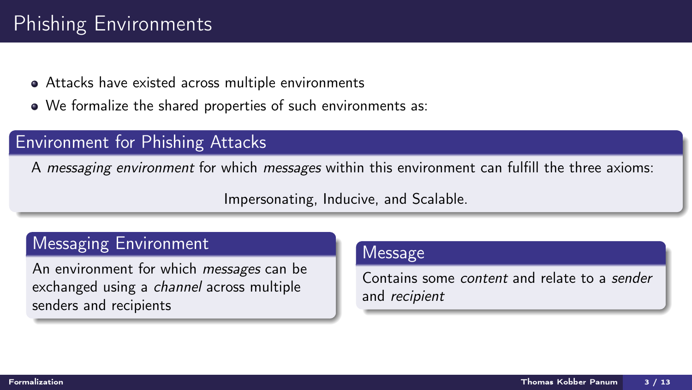# <span id="page-3-0"></span>Phishing Environments

- Attacks have existed across multiple environments
- We formalize the shared properties of such environments as:

### Environment for Phishing Attacks

A messaging environment for which messages within this environment can fulfill the three axioms:

Impersonating, Inducive, and Scalable.

### Messaging Environment

An environment for which *messages* can be exchanged using a channel across multiple senders and recipients

#### Message

Contains some content and relate to a sender and recipient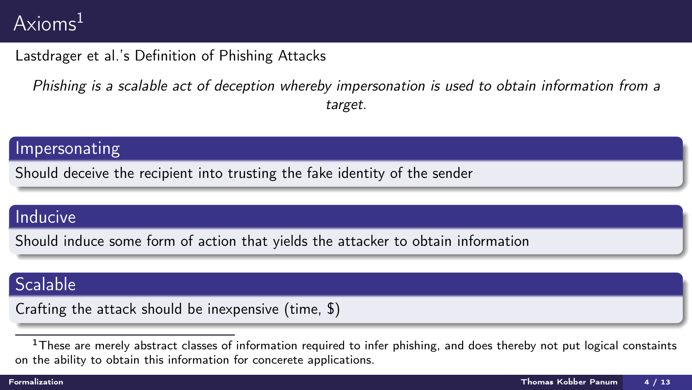# Axioms<sup>1</sup>

#### Lastdrager et al.'s Definition of Phishing Attacks

Phishing is a scalable act of deception whereby impersonation is used to obtain information from a target.

#### Impersonating

Should deceive the recipient into trusting the fake identity of the sender

### Inducive

Should induce some form of action that yields the attacker to obtain information

### Scalable

Crafting the attack should be inexpensive (time, \$)

<sup>&</sup>lt;sup>1</sup>These are merely abstract classes of information required to infer phishing, and does thereby not put logical constaints on the ability to obtain this information for concerete applications.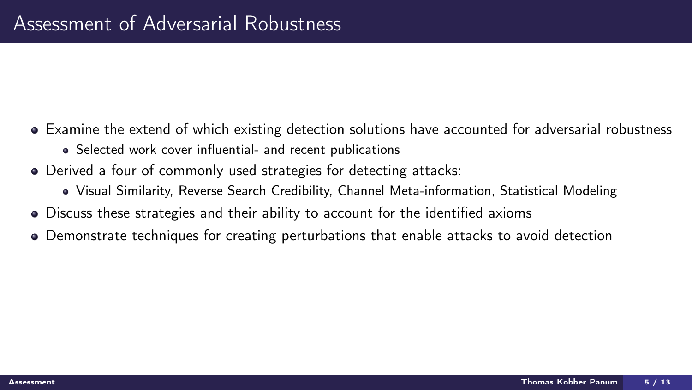- <span id="page-5-0"></span>Examine the extend of which existing detection solutions have accounted for adversarial robustness
	- Selected work cover influential- and recent publications
- Derived a four of commonly used strategies for detecting attacks:
	- Visual Similarity, Reverse Search Credibility, Channel Meta-information, Statistical Modeling
- Discuss these strategies and their ability to account for the identified axioms
- Demonstrate techniques for creating perturbations that enable attacks to avoid detection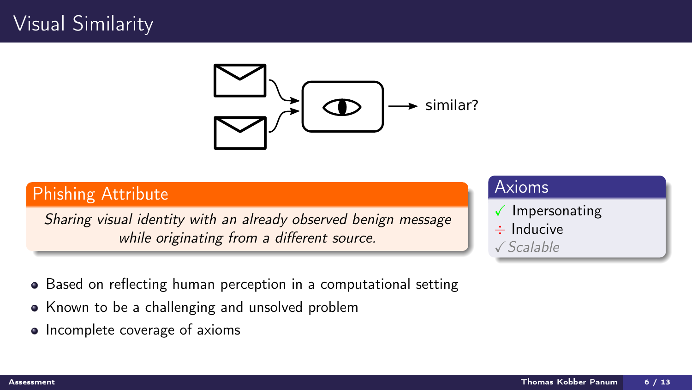## Visual Similarity



### Phishing Attribute

Sharing visual identity with an already observed benign message while originating from a different source.

- Axioms  $\sqrt{}$  Impersonating
- ÷ Inducive  $\sqrt{Scalable}$

- Based on reflecting human perception in a computational setting
- Known to be a challenging and unsolved problem
- Incomplete coverage of axioms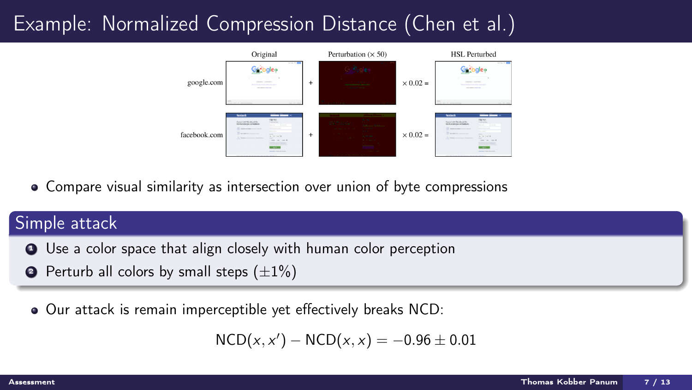# Example: Normalized Compression Distance (Chen et al.)



Compare visual similarity as intersection over union of byte compressions

### Simple attack

- **1** Use a color space that align closely with human color perception
- **2** Perturb all colors by small steps  $(\pm 1\%)$
- Our attack is remain imperceptible yet effectively breaks NCD:  $\bullet$

 $NCD(x, x') - NCD(x, x) = -0.96 \pm 0.01$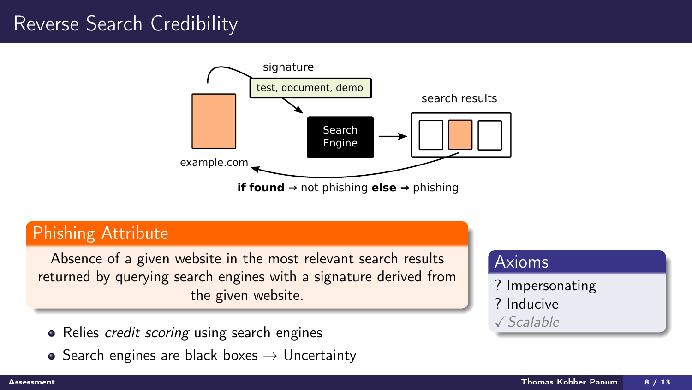## Reverse Search Credibility



### Phishing Attribute

Absence of a given website in the most relevant search results returned by querying search engines with a signature derived from the given website.

- Relies *credit scoring* using search engines
- Search engines are black boxes  $\rightarrow$  Uncertainty

### Axioms

? Impersonating ? Inducive XScalable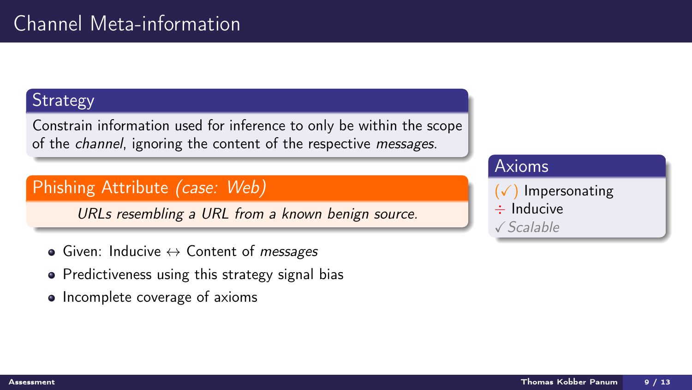### **Strategy**

Constrain information used for inference to only be within the scope of the *channel*, ignoring the content of the respective *messages*.

### Phishing Attribute (case: Web)

URLs resembling a URL from a known benign source.

- $\bullet$  Given: Inducive  $\leftrightarrow$  Content of *messages*
- Predictiveness using this strategy signal bias
- Incomplete coverage of axioms

### Axioms

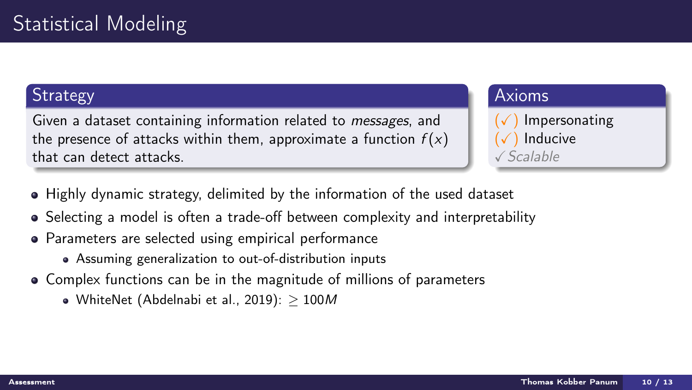### **Strategy**

Given a dataset containing information related to messages, and the presence of attacks within them, approximate a function  $f(x)$ that can detect attacks.

#### Axioms

**Impersonating** Inducive XScalable

- Highly dynamic strategy, delimited by the information of the used dataset
- Selecting a model is often a trade-off between complexity and interpretability
- Parameters are selected using empirical performance
	- Assuming generalization to out-of-distribution inputs
- Complex functions can be in the magnitude of millions of parameters
	- WhiteNet (Abdelnabi et al., 2019):  $> 100M$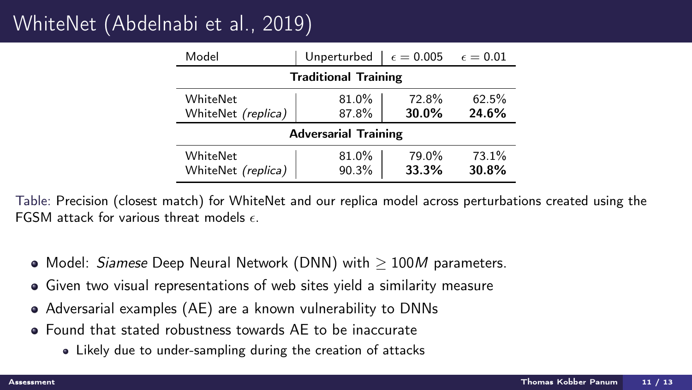# WhiteNet (Abdelnabi et al., 2019)

| Model                                 | Unperturbed    | $\epsilon=0.005$ | $\epsilon=0.01$ |
|---------------------------------------|----------------|------------------|-----------------|
| <b>Traditional Training</b>           |                |                  |                 |
| WhiteNet                              | 81.0%          | 72.8%            | 62.5%           |
| WhiteNet (replica)                    | 87.8%          | 30.0%            | 24.6%           |
| <b>Adversarial Training</b>           |                |                  |                 |
| WhiteNet<br>WhiteNet <i>(replica)</i> | 81.0%<br>90.3% | 79.0%<br>33.3%   | 73.1%<br>30.8%  |

Table: Precision (closest match) for WhiteNet and our replica model across perturbations created using the FGSM attack for various threat models  $\epsilon$ 

- $\bullet$  Model: *Siamese* Deep Neural Network (DNN) with  $> 100M$  parameters.
- Given two visual representations of web sites yield a similarity measure
- Adversarial examples (AE) are a known vulnerability to DNNs
- Found that stated robustness towards AE to be inaccurate
	- Likely due to under-sampling during the creation of attacks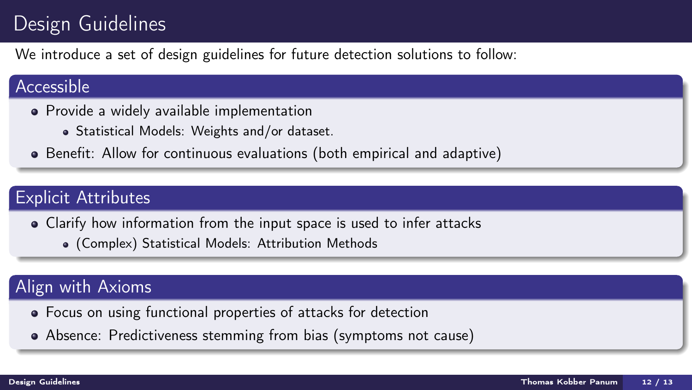# <span id="page-12-0"></span>Design Guidelines

We introduce a set of design guidelines for future detection solutions to follow:

### Accessible

- Provide a widely available implementation
	- Statistical Models: Weights and/or dataset.
- Benefit: Allow for continuous evaluations (both empirical and adaptive)

### Explicit Attributes

- Clarify how information from the input space is used to infer attacks
	- (Complex) Statistical Models: Attribution Methods

### Align with Axioms

- Focus on using functional properties of attacks for detection
- Absence: Predictiveness stemming from bias (symptoms not cause)